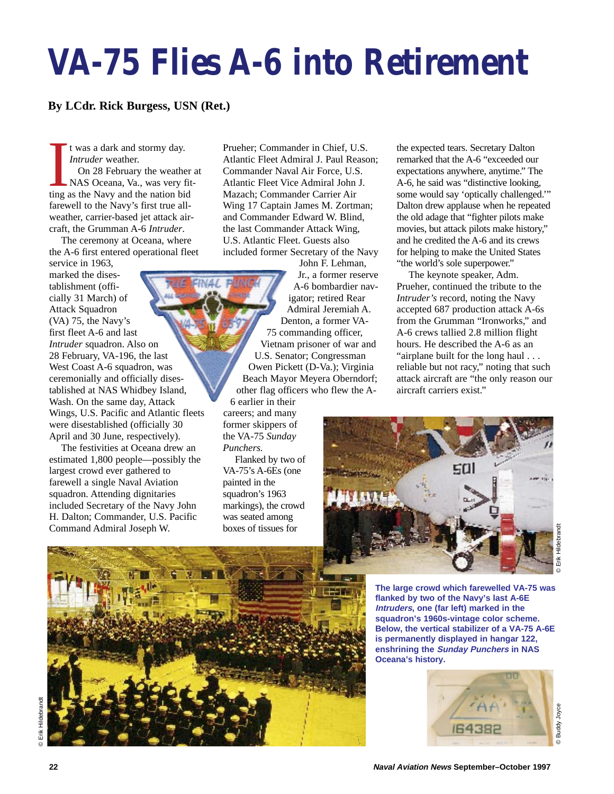## **VA-75 Flies A-6 into Retirement**

## **By LCdr. Rick Burgess, USN (Ret.)**

t was a dark and stormy day. *Intruder* weather.

It was a dark and stormy day.<br>
Intruder weather.<br>
On 28 February the weather<br>
NAS Oceana, Va., was very fit<br>
ting as the Navy and the nation bid On 28 February the weather at NAS Oceana, Va., was very fitfarewell to the Navy's first true allweather, carrier-based jet attack aircraft, the Grumman A-6 *Intruder*.

The ceremony at Oceana, where the A-6 first entered operational fleet

service in 1963, marked the disestablishment (officially 31 March) of Attack Squadron (VA) 75, the Navy's first fleet A-6 and last *Intruder* squadron. Also on 28 February, VA-196, the last West Coast A-6 squadron, was ceremonially and officially disestablished at NAS Whidbey Island, Wash. On the same day, Attack Wings, U.S. Pacific and Atlantic fleets were disestablished (officially 30 April and 30 June, respectively).

The festivities at Oceana drew an estimated 1,800 people—possibly the largest crowd ever gathered to farewell a single Naval Aviation squadron. Attending dignitaries included Secretary of the Navy John H. Dalton; Commander, U.S. Pacific Command Admiral Joseph W.

Prueher; Commander in Chief, U.S. Atlantic Fleet Admiral J. Paul Reason; Commander Naval Air Force, U.S. Atlantic Fleet Vice Admiral John J. Mazach; Commander Carrier Air Wing 17 Captain James M. Zortman; and Commander Edward W. Blind, the last Commander Attack Wing, U.S. Atlantic Fleet. Guests also included former Secretary of the Navy

John F. Lehman, Jr., a former reserve A-6 bombardier navigator; retired Rear Admiral Jeremiah A. Denton, a former VA-75 commanding officer, Vietnam prisoner of war and U.S. Senator; Congressman Owen Pickett (D-Va.); Virginia Beach Mayor Meyera Oberndorf; other flag officers who flew the A-

6 earlier in their careers; and many former skippers of the VA-75 *Sunday Punchers.*

Flanked by two of VA-75's A-6Es (one painted in the squadron's 1963 markings), the crowd was seated among boxes of tissues for

the expected tears. Secretary Dalton remarked that the A-6 "exceeded our expectations anywhere, anytime." The A-6, he said was "distinctive looking, some would say 'optically challenged.'" Dalton drew applause when he repeated the old adage that "fighter pilots make movies, but attack pilots make history," and he credited the A-6 and its crews for helping to make the United States "the world's sole superpower."

The keynote speaker, Adm. Prueher, continued the tribute to the *Intruder's* record, noting the Navy accepted 687 production attack A-6s from the Grumman "Ironworks," and A-6 crews tallied 2.8 million flight hours. He described the A-6 as an "airplane built for the long haul . . . reliable but not racy," noting that such attack aircraft are "the only reason our aircraft carriers exist."





**The large crowd which farewelled VA-75 was flanked by two of the Navy's last A-6E Intruders, one (far left) marked in the squadron's 1960s-vintage color scheme. Below, the vertical stabilizer of a VA-75 A-6E is permanently displayed in hangar 122, enshrining the Sunday Punchers in NAS Oceana's history.**